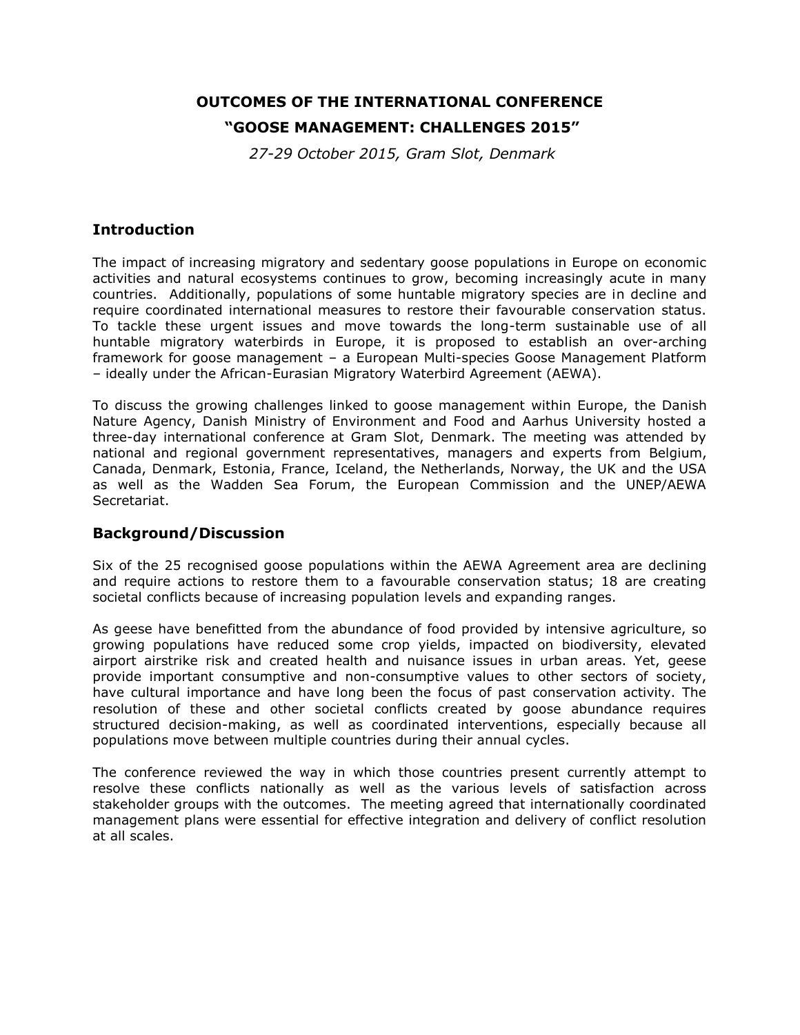# **OUTCOMES OF THE INTERNATIONAL CONFERENCE**

### **"GOOSE MANAGEMENT: CHALLENGES 2015"**

*27-29 October 2015, Gram Slot, Denmark*

## **Introduction**

The impact of increasing migratory and sedentary goose populations in Europe on economic activities and natural ecosystems continues to grow, becoming increasingly acute in many countries. Additionally, populations of some huntable migratory species are in decline and require coordinated international measures to restore their favourable conservation status. To tackle these urgent issues and move towards the long-term sustainable use of all huntable migratory waterbirds in Europe, it is proposed to establish an over-arching framework for goose management – a European Multi-species Goose Management Platform – ideally under the African-Eurasian Migratory Waterbird Agreement (AEWA).

To discuss the growing challenges linked to goose management within Europe, the Danish Nature Agency, Danish Ministry of Environment and Food and Aarhus University hosted a three-day international conference at Gram Slot, Denmark. The meeting was attended by national and regional government representatives, managers and experts from Belgium, Canada, Denmark, Estonia, France, Iceland, the Netherlands, Norway, the UK and the USA as well as the Wadden Sea Forum, the European Commission and the UNEP/AEWA Secretariat.

#### **Background/Discussion**

Six of the 25 recognised goose populations within the AEWA Agreement area are declining and require actions to restore them to a favourable conservation status; 18 are creating societal conflicts because of increasing population levels and expanding ranges.

As geese have benefitted from the abundance of food provided by intensive agriculture, so growing populations have reduced some crop yields, impacted on biodiversity, elevated airport airstrike risk and created health and nuisance issues in urban areas. Yet, geese provide important consumptive and non-consumptive values to other sectors of society, have cultural importance and have long been the focus of past conservation activity. The resolution of these and other societal conflicts created by goose abundance requires structured decision-making, as well as coordinated interventions, especially because all populations move between multiple countries during their annual cycles.

The conference reviewed the way in which those countries present currently attempt to resolve these conflicts nationally as well as the various levels of satisfaction across stakeholder groups with the outcomes. The meeting agreed that internationally coordinated management plans were essential for effective integration and delivery of conflict resolution at all scales.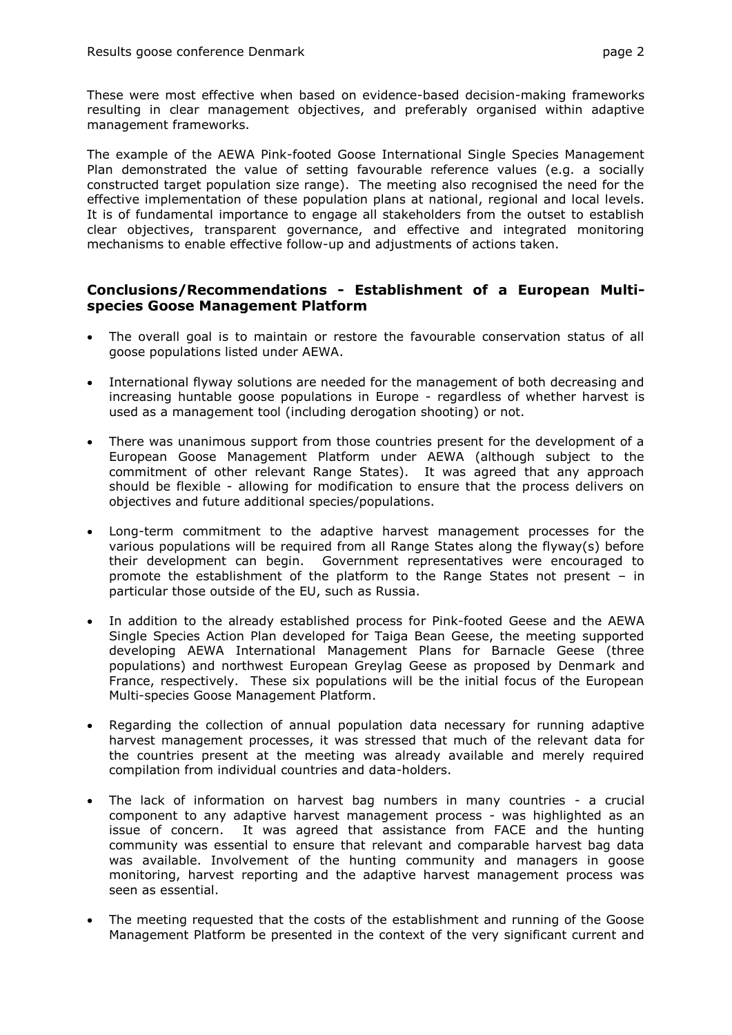These were most effective when based on evidence-based decision-making frameworks resulting in clear management objectives, and preferably organised within adaptive management frameworks.

The example of the AEWA Pink-footed Goose International Single Species Management Plan demonstrated the value of setting favourable reference values (e.g. a socially constructed target population size range). The meeting also recognised the need for the effective implementation of these population plans at national, regional and local levels. It is of fundamental importance to engage all stakeholders from the outset to establish clear objectives, transparent governance, and effective and integrated monitoring mechanisms to enable effective follow-up and adjustments of actions taken.

# **Conclusions/Recommendations - Establishment of a European Multispecies Goose Management Platform**

- The overall goal is to maintain or restore the favourable conservation status of all goose populations listed under AEWA.
- International flyway solutions are needed for the management of both decreasing and increasing huntable goose populations in Europe - regardless of whether harvest is used as a management tool (including derogation shooting) or not.
- There was unanimous support from those countries present for the development of a European Goose Management Platform under AEWA (although subject to the commitment of other relevant Range States). It was agreed that any approach should be flexible - allowing for modification to ensure that the process delivers on objectives and future additional species/populations.
- Long-term commitment to the adaptive harvest management processes for the various populations will be required from all Range States along the flyway(s) before their development can begin. Government representatives were encouraged to promote the establishment of the platform to the Range States not present – in particular those outside of the EU, such as Russia.
- In addition to the already established process for Pink-footed Geese and the AEWA Single Species Action Plan developed for Taiga Bean Geese, the meeting supported developing AEWA International Management Plans for Barnacle Geese (three populations) and northwest European Greylag Geese as proposed by Denmark and France, respectively. These six populations will be the initial focus of the European Multi-species Goose Management Platform.
- Regarding the collection of annual population data necessary for running adaptive harvest management processes, it was stressed that much of the relevant data for the countries present at the meeting was already available and merely required compilation from individual countries and data-holders.
- The lack of information on harvest bag numbers in many countries a crucial component to any adaptive harvest management process - was highlighted as an issue of concern. It was agreed that assistance from FACE and the hunting community was essential to ensure that relevant and comparable harvest bag data was available. Involvement of the hunting community and managers in goose monitoring, harvest reporting and the adaptive harvest management process was seen as essential.
- The meeting requested that the costs of the establishment and running of the Goose Management Platform be presented in the context of the very significant current and